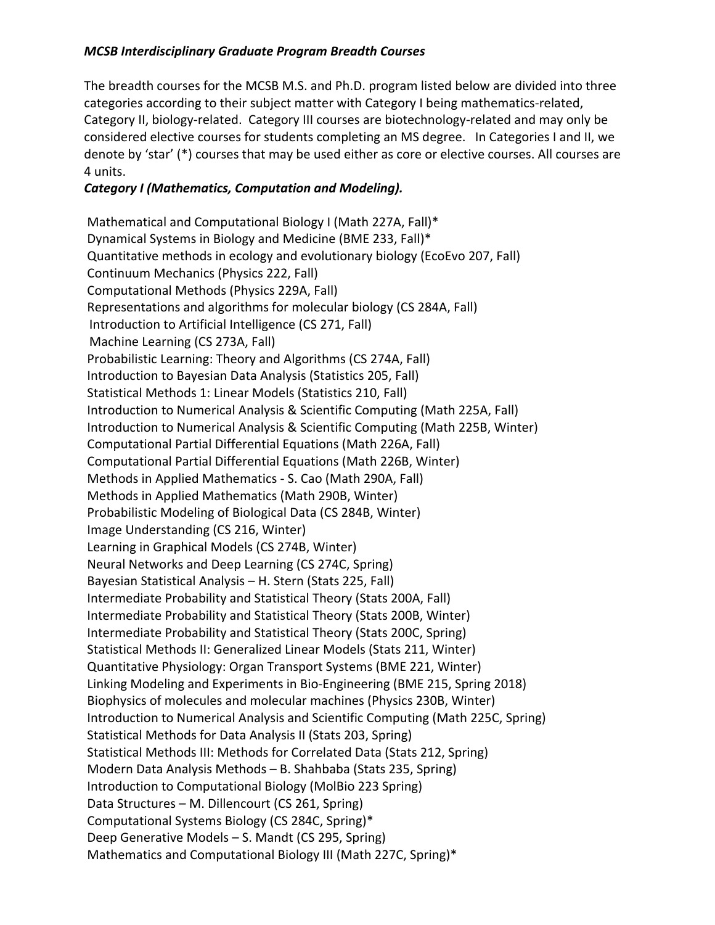## *MCSB Interdisciplinary Graduate Program Breadth Courses*

The breadth courses for the MCSB M.S. and Ph.D. program listed below are divided into three categories according to their subject matter with Category I being mathematics-related, Category II, biology-related. Category III courses are biotechnology-related and may only be considered elective courses for students completing an MS degree. In Categories I and II, we denote by 'star' (\*) courses that may be used either as core or elective courses. All courses are 4 units.

## *Category I (Mathematics, Computation and Modeling).*

Mathematical and Computational Biology I (Math 227A, Fall)\* Dynamical Systems in Biology and Medicine (BME 233, Fall)\* Quantitative methods in ecology and evolutionary biology (EcoEvo 207, Fall) Continuum Mechanics (Physics 222, Fall) Computational Methods (Physics 229A, Fall) Representations and algorithms for molecular biology (CS 284A, Fall) Introduction to Artificial Intelligence (CS 271, Fall) Machine Learning (CS 273A, Fall) Probabilistic Learning: Theory and Algorithms (CS 274A, Fall) Introduction to Bayesian Data Analysis (Statistics 205, Fall) Statistical Methods 1: Linear Models (Statistics 210, Fall) Introduction to Numerical Analysis & Scientific Computing (Math 225A, Fall) Introduction to Numerical Analysis & Scientific Computing (Math 225B, Winter) Computational Partial Differential Equations (Math 226A, Fall) Computational Partial Differential Equations (Math 226B, Winter) Methods in Applied Mathematics - S. Cao (Math 290A, Fall) Methods in Applied Mathematics (Math 290B, Winter) Probabilistic Modeling of Biological Data (CS 284B, Winter) Image Understanding (CS 216, Winter) Learning in Graphical Models (CS 274B, Winter) Neural Networks and Deep Learning (CS 274C, Spring) Bayesian Statistical Analysis – H. Stern (Stats 225, Fall) Intermediate Probability and Statistical Theory (Stats 200A, Fall) Intermediate Probability and Statistical Theory (Stats 200B, Winter) Intermediate Probability and Statistical Theory (Stats 200C, Spring) Statistical Methods II: Generalized Linear Models (Stats 211, Winter) Quantitative Physiology: Organ Transport Systems (BME 221, Winter) Linking Modeling and Experiments in Bio-Engineering (BME 215, Spring 2018) Biophysics of molecules and molecular machines (Physics 230B, Winter) Introduction to Numerical Analysis and Scientific Computing (Math 225C, Spring) Statistical Methods for Data Analysis II (Stats 203, Spring) Statistical Methods III: Methods for Correlated Data (Stats 212, Spring) Modern Data Analysis Methods – B. Shahbaba (Stats 235, Spring) Introduction to Computational Biology (MolBio 223 Spring) Data Structures – M. Dillencourt (CS 261, Spring) Computational Systems Biology (CS 284C, Spring)\* Deep Generative Models – S. Mandt (CS 295, Spring) Mathematics and Computational Biology III (Math 227C, Spring)\*